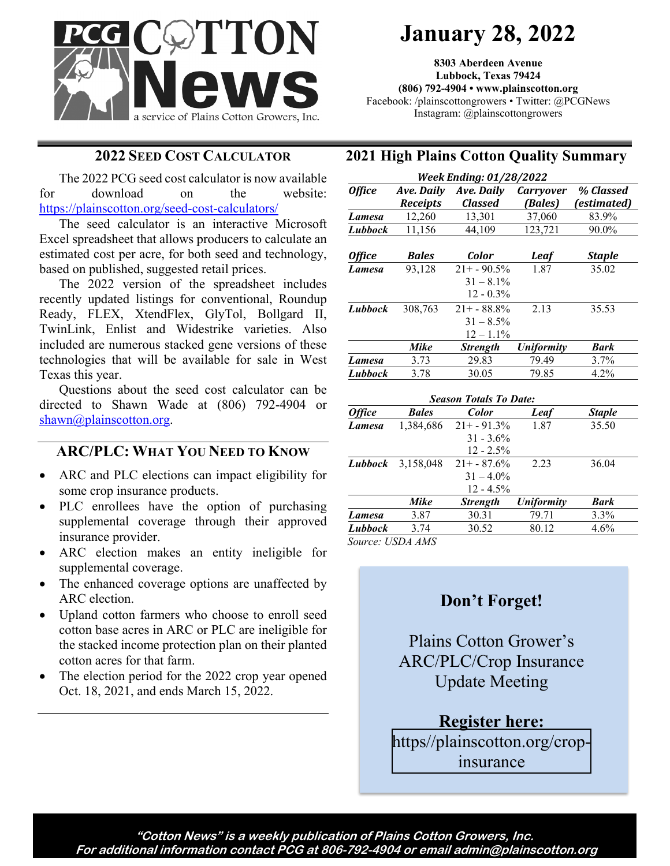

# **January 28, 2022**

**8303 Aberdeen Avenue Lubbock, Texas 79424 (806) 792-4904 • www.plainscotton.org** Facebook: /plainscottongrowers • Twitter: @PCGNews Instagram: @plainscottongrowers

#### **2022 SEED COST CALCULATOR**

The 2022 PCG seed cost calculator is now available for download on the website: <https://plainscotton.org/seed-cost-calculators/>

The seed calculator is an interactive Microsoft Excel spreadsheet that allows producers to calculate an estimated cost per acre, for both seed and technology, based on published, suggested retail prices.

The 2022 version of the spreadsheet includes recently updated listings for conventional, Roundup Ready, FLEX, XtendFlex, GlyTol, Bollgard II, TwinLink, Enlist and Widestrike varieties. Also included are numerous stacked gene versions of these technologies that will be available for sale in West Texas this year.

Questions about the seed cost calculator can be directed to Shawn Wade at (806) 792-4904 or [shawn@plainscotton.org.](mailto:shawn@plainscotton.org)

# **ARC/PLC: WHAT YOU NEED TO KNOW**

- ARC and PLC elections can impact eligibility for some crop insurance products.
- PLC enrollees have the option of purchasing supplemental coverage through their approved insurance provider.
- ARC election makes an entity ineligible for supplemental coverage.
- The enhanced coverage options are unaffected by ARC election.
- Upland cotton farmers who choose to enroll seed cotton base acres in ARC or PLC are ineligible for the stacked income protection plan on their planted cotton acres for that farm.
- The election period for the 2022 crop year opened Oct. 18, 2021, and ends March 15, 2022.

## **2021 High Plains Cotton Quality Summary**

| <b>Week Ending: 01/28/2022</b> |                                      |                               |                             |                          |
|--------------------------------|--------------------------------------|-------------------------------|-----------------------------|--------------------------|
| <b>Office</b>                  | <b>Ave. Daily</b><br><b>Receipts</b> | Ave. Daily<br><b>Classed</b>  | <b>Carryover</b><br>(Bales) | % Classed<br>(estimated) |
| Lamesa                         | 12,260                               | 13,301                        | 37,060                      | 83.9%                    |
| Lubbock                        | 11,156                               | 44,109                        | 123,721                     | 90.0%                    |
|                                |                                      |                               |                             |                          |
| <b>Office</b>                  | <b>Bales</b>                         | Color                         | <b>Leaf</b>                 | <b>Staple</b>            |
| Lamesa                         | 93,128                               | $21+ -90.5%$                  | 1.87                        | 35.02                    |
|                                |                                      | $31 - 8.1\%$                  |                             |                          |
|                                |                                      | $12 - 0.3\%$                  |                             |                          |
| Lubbock                        | 308,763                              | $21+ - 88.8\%$                | 2.13                        | 35.53                    |
|                                |                                      | $31 - 8.5\%$                  |                             |                          |
|                                |                                      | $12 - 1.1\%$                  |                             |                          |
|                                | Mike                                 | <b>Strength</b>               | <b>Uniformity</b>           | <b>Bark</b>              |
| Lamesa                         | 3.73                                 | 29.83                         | 79.49                       | 3.7%                     |
| Lubbock                        | 3.78                                 | 30.05                         | 79.85                       | 4.2%                     |
|                                |                                      | <b>Season Totals To Date:</b> |                             |                          |
| <b>Office</b>                  | <b>Bales</b>                         | Color                         | Leaf                        | <b>Staple</b>            |
| Lamesa                         | 1,384,686                            | $21 + -91.3%$                 | 1.87                        | 35.50                    |
|                                |                                      | $31 - 3.6\%$                  |                             |                          |
|                                |                                      | $12 - 2.5\%$                  |                             |                          |
| Lubbock                        | 3,158,048                            | $21+ - 87.6%$                 | 2.23                        | 36.04                    |
|                                |                                      | $31 - 4.0\%$                  |                             |                          |
|                                |                                      | $12 - 4.5\%$                  |                             |                          |
|                                | <b>Mike</b>                          | <b>Strength</b>               | <b>Uniformity</b>           | <b>Bark</b>              |
| Lamesa                         | 3.87                                 | 30.31                         | 79.71                       | 3.3%                     |
| <b>Lubbock</b>                 | 3.74                                 | 30.52                         | 80.12                       | 4.6%                     |

*Source: USDA AMS*

# **Don't Forget!**

Plains Cotton Grower's ARC/PLC/Crop Insurance Update Meeting

**Register here:** [https//plainscotton.org/crop](https://plainscotton.org/crop-insurance)insurance

**"Cotton News" is a weekly publication of Plains Cotton Growers, Inc. For additional information contact PCG at 806-792-4904 or email admin@plainscotton.org**